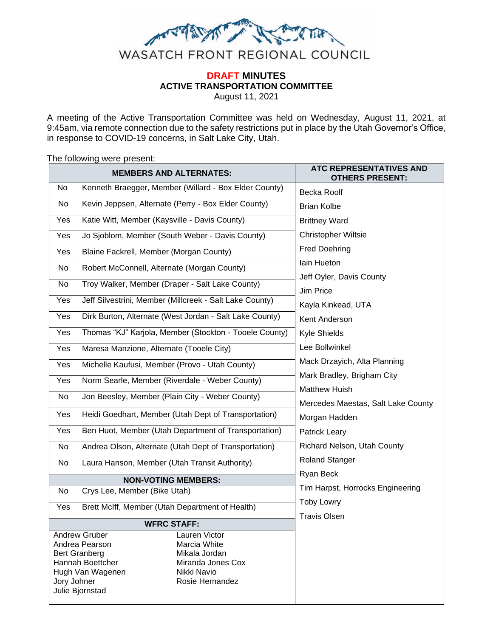

# **DRAFT MINUTES ACTIVE TRANSPORTATION COMMITTEE**

August 11, 2021

A meeting of the Active Transportation Committee was held on Wednesday, August 11, 2021, at 9:45am, via remote connection due to the safety restrictions put in place by the Utah Governor's Office, in response to COVID-19 concerns, in Salt Lake City, Utah.

The following were present: **MEMBERS AND ALTERNATES: ATC REPRESENTATIVES AND OTHERS PRESENT:** No | Kenneth Braegger, Member (Willard - Box Elder County) |  $Becka Roolf$ Brian Kolbe Brittney Ward Christopher Wiltsie Fred Doehring Iain Hueton Jeff Oyler, Davis County Jim Price Kayla Kinkead, UTA Kent Anderson Kyle Shields Lee Bollwinkel Mack Drzayich, Alta Planning Mark Bradley, Brigham City Matthew Huish Mercedes Maestas, Salt Lake County Morgan Hadden Patrick Leary Richard Nelson, Utah County Roland Stanger Ryan Beck Tim Harpst, Horrocks Engineering Toby Lowry Travis Olsen No Kevin Jeppsen, Alternate (Perry - Box Elder County) Yes | Katie Witt, Member (Kaysville - Davis County) Yes | Jo Sjoblom, Member (South Weber - Davis County) Yes | Blaine Fackrell, Member (Morgan County) No | Robert McConnell, Alternate (Morgan County) No Troy Walker, Member (Draper - Salt Lake County) Yes | Jeff Silvestrini, Member (Millcreek - Salt Lake County) Yes | Dirk Burton, Alternate (West Jordan - Salt Lake County) Yes | Thomas "KJ" Karjola, Member (Stockton - Tooele County) Yes | Maresa Manzione, Alternate (Tooele City) Yes | Michelle Kaufusi, Member (Provo - Utah County) Yes | Norm Searle, Member (Riverdale - Weber County) No Jon Beesley, Member (Plain City - Weber County) Yes | Heidi Goedhart, Member (Utah Dept of Transportation) Yes | Ben Huot, Member (Utah Department of Transportation) No | Andrea Olson, Alternate (Utah Dept of Transportation) No Laura Hanson, Member (Utah Transit Authority) **NON-VOTING MEMBERS:** No | Crys Lee, Member (Bike Utah) Yes | Brett McIff, Member (Utah Department of Health) **WFRC STAFF:** Andrew Gruber Andrea Pearson Bert Granberg Hannah Boettcher Hugh Van Wagenen Jory Johner Julie Bjornstad Lauren Victor Marcia White Mikala Jordan Miranda Jones Cox Nikki Navio Rosie Hernandez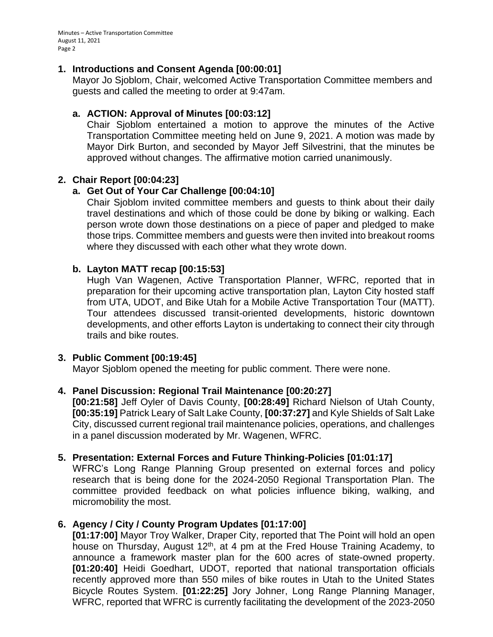Minutes – Active Transportation Committee August 11, 2021 Page 2

#### **1. Introductions and Consent Agenda [00:00:01]**

Mayor Jo Sjoblom, Chair, welcomed Active Transportation Committee members and guests and called the meeting to order at 9:47am.

### **a. ACTION: Approval of Minutes [00:03:12]**

Chair Sjoblom entertained a motion to approve the minutes of the Active Transportation Committee meeting held on June 9, 2021. A motion was made by Mayor Dirk Burton, and seconded by Mayor Jeff Silvestrini, that the minutes be approved without changes. The affirmative motion carried unanimously.

#### **2. Chair Report [00:04:23]**

## **a. Get Out of Your Car Challenge [00:04:10]**

Chair Sjoblom invited committee members and guests to think about their daily travel destinations and which of those could be done by biking or walking. Each person wrote down those destinations on a piece of paper and pledged to make those trips. Committee members and guests were then invited into breakout rooms where they discussed with each other what they wrote down.

#### **b. Layton MATT recap [00:15:53]**

Hugh Van Wagenen, Active Transportation Planner, WFRC, reported that in preparation for their upcoming active transportation plan, Layton City hosted staff from UTA, UDOT, and Bike Utah for a Mobile Active Transportation Tour (MATT). Tour attendees discussed transit-oriented developments, historic downtown developments, and other efforts Layton is undertaking to connect their city through trails and bike routes.

#### **3. Public Comment [00:19:45]**

Mayor Sjoblom opened the meeting for public comment. There were none.

#### **4. Panel Discussion: Regional Trail Maintenance [00:20:27]**

**[00:21:58]** Jeff Oyler of Davis County, **[00:28:49]** Richard Nielson of Utah County, **[00:35:19]** Patrick Leary of Salt Lake County, **[00:37:27]** and Kyle Shields of Salt Lake City, discussed current regional trail maintenance policies, operations, and challenges in a panel discussion moderated by Mr. Wagenen, WFRC.

#### **5. Presentation: External Forces and Future Thinking-Policies [01:01:17]**

WFRC's Long Range Planning Group presented on external forces and policy research that is being done for the 2024-2050 Regional Transportation Plan. The committee provided feedback on what policies influence biking, walking, and micromobility the most.

#### **6. Agency / City / County Program Updates [01:17:00]**

**[01:17:00]** Mayor Troy Walker, Draper City, reported that The Point will hold an open house on Thursday, August 12<sup>th</sup>, at 4 pm at the Fred House Training Academy, to announce a framework master plan for the 600 acres of state-owned property. **[01:20:40]** Heidi Goedhart, UDOT, reported that national transportation officials recently approved more than 550 miles of bike routes in Utah to the United States Bicycle Routes System. **[01:22:25]** Jory Johner, Long Range Planning Manager, WFRC, reported that WFRC is currently facilitating the development of the 2023-2050